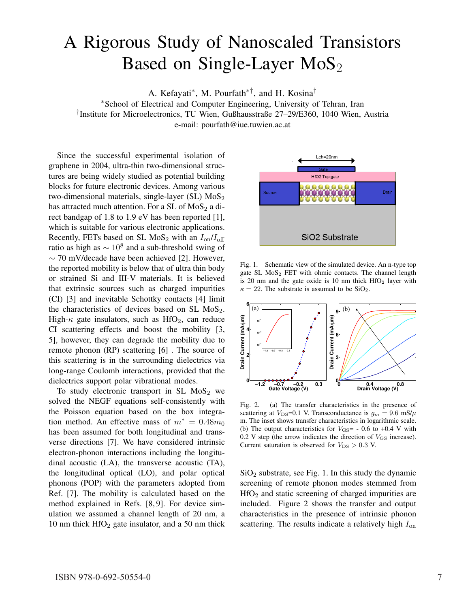## A Rigorous Study of Nanoscaled Transistors Based on Single-Layer  $MoS<sub>2</sub>$

A. Kefayati∗, M. Pourfath∗†, and H. Kosina†

∗School of Electrical and Computer Engineering, University of Tehran, Iran †Institute for Microelectronics, TU Wien, Gußhausstraße 27–29/E360, 1040 Wien, Austria

e-mail: pourfath@iue.tuwien.ac.at

Since the successful experimental isolation of graphene in 2004, ultra-thin two-dimensional structures are being widely studied as potential building blocks for future electronic devices. Among various two-dimensional materials, single-layer  $(SL)$  MoS<sub>2</sub> has attracted much attention. For a SL of  $MoS<sub>2</sub>$  a direct bandgap of 1.8 to 1.9 eV has been reported [1], which is suitable for various electronic applications. Recently, FETs based on SL MoS<sub>2</sub> with an  $I_{on}/I_{off}$ ratio as high as  $\sim 10^8$  and a sub-threshold swing of ∼ 70 mV/decade have been achieved [2]. However, the reported mobility is below that of ultra thin body or strained Si and III-V materials. It is believed that extrinsic sources such as charged impurities (CI) [3] and inevitable Schottky contacts [4] limit the characteristics of devices based on SL  $MoS<sub>2</sub>$ . High- $\kappa$  gate insulators, such as HfO<sub>2</sub>, can reduce CI scattering effects and boost the mobility [3, 5], however, they can degrade the mobility due to remote phonon (RP) scattering [6] . The source of this scattering is in the surrounding dielectrics via long-range Coulomb interactions, provided that the dielectrics support polar vibrational modes.

To study electronic transport in SL  $MoS<sub>2</sub>$  we solved the NEGF equations self-consistently with the Poisson equation based on the box integration method. An effective mass of  $m^* = 0.48m_0$ has been assumed for both longitudinal and transverse directions [7]. We have considered intrinsic electron-phonon interactions including the longitudinal acoustic (LA), the transverse acoustic (TA), the longitudinal optical (LO), and polar optical phonons (POP) with the parameters adopted from Ref. [7]. The mobility is calculated based on the method explained in Refs. [8, 9]. For device simulation we assumed a channel length of 20 nm, a 10 nm thick  $HfO<sub>2</sub>$  gate insulator, and a 50 nm thick



Fig. 1. Schematic view of the simulated device. An n-type top gate SL  $MoS<sub>2</sub> FET$  with ohmic contacts. The channel length is 20 nm and the gate oxide is 10 nm thick  $HfO<sub>2</sub>$  layer with  $\kappa = 22$ . The substrate is assumed to be SiO<sub>2</sub>.



Fig. 2. (a) The transfer characteristics in the presence of scattering at  $V_{\text{DS}}=0.1$  V. Transconductance is  $g_m = 9.6$  mS/ $\mu$ m. The inset shows transfer characteristics in logarithmic scale. (b) The output characteristics for  $V_{\text{GS}}$  = - 0.6 to +0.4 V with  $0.2$  V step (the arrow indicates the direction of  $V_{\text{GS}}$  increase). Current saturation is observed for  $V_{DS} > 0.3$  V.

 $SiO<sub>2</sub>$  substrate, see Fig. 1. In this study the dynamic screening of remote phonon modes stemmed from HfO<sup>2</sup> and static screening of charged impurities are included. Figure 2 shows the transfer and output characteristics in the presence of intrinsic phonon scattering. The results indicate a relatively high  $I_{on}$